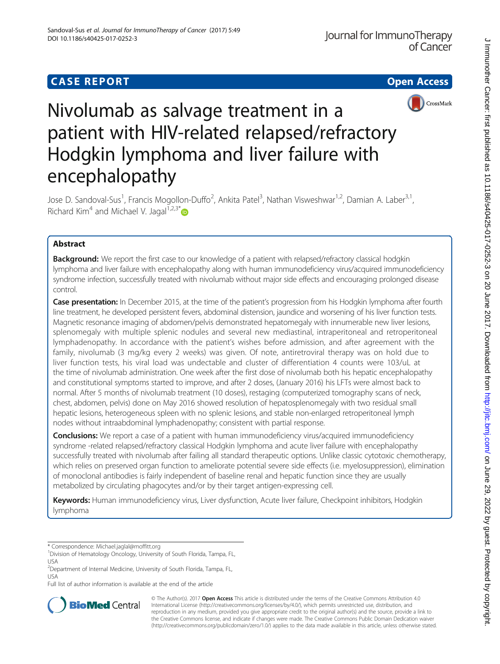## **CASE REPORT CASE REPORT CASE REPORT**





# Nivolumab as salvage treatment in a patient with HIV-related relapsed/refractory Hodgkin lymphoma and liver failure with encephalopathy

Jose D. Sandoval-Sus<sup>1</sup>, Francis Mogollon-Duffo<sup>2</sup>, Ankita Patel<sup>3</sup>, Nathan Visweshwar<sup>1,2</sup>, Damian A. Laber<sup>3,1</sup>, Richard Kim<sup>4</sup> and Michael V. Jagal<sup>1,2,3\*</sup>

## Abstract

**Background:** We report the first case to our knowledge of a patient with relapsed/refractory classical hodgkin lymphoma and liver failure with encephalopathy along with human immunodeficiency virus/acquired immunodeficiency syndrome infection, successfully treated with nivolumab without major side effects and encouraging prolonged disease control.

Case presentation: In December 2015, at the time of the patient's progression from his Hodgkin lymphoma after fourth line treatment, he developed persistent fevers, abdominal distension, jaundice and worsening of his liver function tests. Magnetic resonance imaging of abdomen/pelvis demonstrated hepatomegaly with innumerable new liver lesions, splenomegaly with multiple splenic nodules and several new mediastinal, intraperitoneal and retroperitoneal lymphadenopathy. In accordance with the patient's wishes before admission, and after agreement with the family, nivolumab (3 mg/kg every 2 weeks) was given. Of note, antiretroviral therapy was on hold due to liver function tests, his viral load was undectable and cluster of differentiation 4 counts were 103/uL at the time of nivolumab administration. One week after the first dose of nivolumab both his hepatic encephalopathy and constitutional symptoms started to improve, and after 2 doses, (January 2016) his LFTs were almost back to normal. After 5 months of nivolumab treatment (10 doses), restaging (computerized tomography scans of neck, chest, abdomen, pelvis) done on May 2016 showed resolution of hepatosplenomegaly with two residual small hepatic lesions, heterogeneous spleen with no splenic lesions, and stable non-enlarged retroperitoneal lymph nodes without intraabdominal lymphadenopathy; consistent with partial response.

**Conclusions:** We report a case of a patient with human immunodeficiency virus/acquired immunodeficiency syndrome -related relapsed/refractory classical Hodgkin lymphoma and acute liver failure with encephalopathy successfully treated with nivolumab after failing all standard therapeutic options. Unlike classic cytotoxic chemotherapy, which relies on preserved organ function to ameliorate potential severe side effects (i.e. myelosuppression), elimination of monoclonal antibodies is fairly independent of baseline renal and hepatic function since they are usually metabolized by circulating phagocytes and/or by their target antigen-expressing cell.

Keywords: Human immunodeficiency virus, Liver dysfunction, Acute liver failure, Checkpoint inhibitors, Hodgkin lymphoma

Full list of author information is available at the end of the article



© The Author(s). 2017 **Open Access** This article is distributed under the terms of the Creative Commons Attribution 4.0 International License [\(http://creativecommons.org/licenses/by/4.0/](http://creativecommons.org/licenses/by/4.0/)), which permits unrestricted use, distribution, and reproduction in any medium, provided you give appropriate credit to the original author(s) and the source, provide a link to the Creative Commons license, and indicate if changes were made. The Creative Commons Public Domain Dedication waiver [\(http://creativecommons.org/publicdomain/zero/1.0/](http://creativecommons.org/publicdomain/zero/1.0/)) applies to the data made available in this article, unless otherwise stated.

<sup>\*</sup> Correspondence: [Michael.jaglal@moffitt.org](mailto:Michael.jaglal@moffitt.org) <sup>1</sup>

<sup>&</sup>lt;sup>1</sup> Division of Hematology Oncology, University of South Florida, Tampa, FL, USA

<sup>&</sup>lt;sup>2</sup>Department of Internal Medicine, University of South Florida, Tampa, FL, USA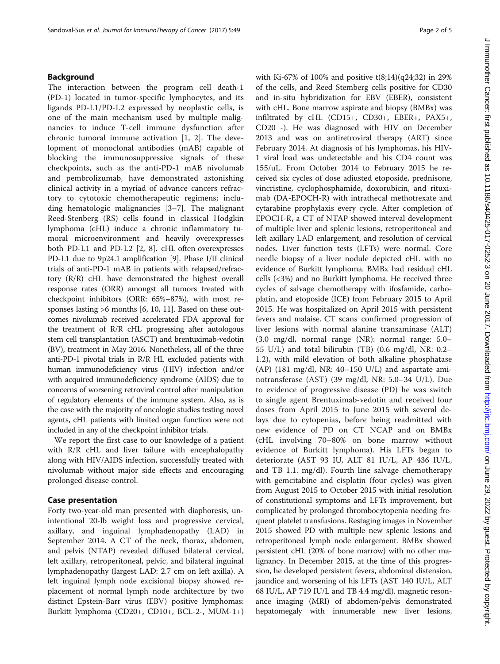#### Background

The interaction between the program cell death-1 (PD-1) located in tumor-specific lymphocytes, and its ligands PD-L1/PD-L2 expressed by neoplastic cells, is one of the main mechanism used by multiple malignancies to induce T-cell immune dysfunction after chronic tumoral immune activation [\[1](#page-4-0), [2](#page-4-0)]. The development of monoclonal antibodies (mAB) capable of blocking the immunosuppressive signals of these checkpoints, such as the anti-PD-1 mAB nivolumab and pembrolizumab, have demonstrated astonishing clinical activity in a myriad of advance cancers refractory to cytotoxic chemotherapeutic regimens; including hematologic malignancies [[3](#page-4-0)–[7\]](#page-4-0). The malignant Reed-Stenberg (RS) cells found in classical Hodgkin lymphoma (cHL) induce a chronic inflammatory tumoral microenvironment and heavily overexpresses both PD-L1 and PD-L2 [[2, 8](#page-4-0)]. cHL often overexpresses PD-L1 due to 9p24.1 amplification [\[9](#page-4-0)]. Phase I/II clinical trials of anti-PD-1 mAB in patients with relapsed/refractory (R/R) cHL have demonstrated the highest overall response rates (ORR) amongst all tumors treated with checkpoint inhibitors (ORR: 65%–87%), with most responses lasting >6 months [\[6](#page-4-0), [10, 11\]](#page-4-0). Based on these outcomes nivolumab received accelerated FDA approval for the treatment of R/R cHL progressing after autologous stem cell transplantation (ASCT) and brentuximab-vedotin (BV), treatment in May 2016. Nonetheless, all of the three anti-PD-1 pivotal trials in R/R HL excluded patients with human immunodeficiency virus (HIV) infection and/or with acquired immunodeficiency syndrome (AIDS) due to concerns of worsening retroviral control after manipulation of regulatory elements of the immune system. Also, as is the case with the majority of oncologic studies testing novel agents, cHL patients with limited organ function were not included in any of the checkpoint inhibitor trials.

We report the first case to our knowledge of a patient with R/R cHL and liver failure with encephalopathy along with HIV/AIDS infection, successfully treated with nivolumab without major side effects and encouraging prolonged disease control.

#### Case presentation

Forty two-year-old man presented with diaphoresis, unintentional 20-lb weight loss and progressive cervical, axillary, and inguinal lymphadenopathy (LAD) in September 2014. A CT of the neck, thorax, abdomen, and pelvis (NTAP) revealed diffused bilateral cervical, left axillary, retroperitoneal, pelvic, and bilateral inguinal lymphadenopathy (largest LAD: 2.7 cm on left axilla). A left inguinal lymph node excisional biopsy showed replacement of normal lymph node architecture by two distinct Epstein-Barr virus (EBV) positive lymphomas: Burkitt lymphoma (CD20+, CD10+, BCL-2-, MUM-1+) with Ki-67% of 100% and positive t(8;14)(q24;32) in 29% of the cells, and Reed Stemberg cells positive for CD30 and in-situ hybridization for EBV (EBER), consistent with cHL. Bone marrow aspirate and biopsy (BMBx) was infiltrated by cHL (CD15+, CD30+, EBER+, PAX5+, CD20 -). He was diagnosed with HIV on December 2013 and was on antiretroviral therapy (ART) since February 2014. At diagnosis of his lymphomas, his HIV-1 viral load was undetectable and his CD4 count was 155/uL. From October 2014 to February 2015 he received six cycles of dose adjusted etoposide, prednisone, vincristine, cyclophosphamide, doxorubicin, and rituximab (DA-EPOCH-R) with intrathecal methotrexate and cytarabine prophylaxis every cycle. After completion of EPOCH-R, a CT of NTAP showed interval development of multiple liver and splenic lesions, retroperitoneal and left axillary LAD enlargement, and resolution of cervical nodes. Liver function tests (LFTs) were normal. Core needle biopsy of a liver nodule depicted cHL with no evidence of Burkitt lymphoma. BMBx had residual cHL cells (<3%) and no Burkitt lymphoma. He received three cycles of salvage chemotherapy with ifosfamide, carboplatin, and etoposide (ICE) from February 2015 to April 2015. He was hospitalized on April 2015 with persistent fevers and malaise. CT scans confirmed progression of liver lesions with normal alanine transaminase (ALT) (3.0 mg/dl, normal range (NR): normal range: 5.0– 55 U/L) and total bilirubin (TB) (0.6 mg/dl, NR: 0.2– 1.2), with mild elevation of both alkaline phosphatase (AP) (181 mg/dl, NR: 40–150 U/L) and aspartate aminotransferase (AST) (39 mg/dl, NR: 5.0–34 U/L). Due to evidence of progressive disease (PD) he was switch to single agent Brentuximab-vedotin and received four doses from April 2015 to June 2015 with several delays due to cytopenias, before being readmitted with new evidence of PD on CT NCAP and on BMBx (cHL involving 70–80% on bone marrow without evidence of Burkitt lymphoma). His LFTs began to deteriorate (AST 93 IU, ALT 81 IU/L, AP 436 IU/L, and TB 1.1. mg/dl). Fourth line salvage chemotherapy with gemcitabine and cisplatin (four cycles) was given from August 2015 to October 2015 with initial resolution of constitutional symptoms and LFTs improvement, but complicated by prolonged thrombocytopenia needing frequent platelet transfusions. Restaging images in November 2015 showed PD with multiple new splenic lesions and retroperitoneal lymph node enlargement. BMBx showed persistent cHL (20% of bone marrow) with no other malignancy. In December 2015, at the time of this progression, he developed persistent fevers, abdominal distension, jaundice and worsening of his LFTs (AST 140 IU/L, ALT 68 IU/L, AP 719 IU/L and TB 4.4 mg/dl). magnetic resonance imaging (MRI) of abdomen/pelvis demonstrated hepatomegaly with innumerable new liver lesions,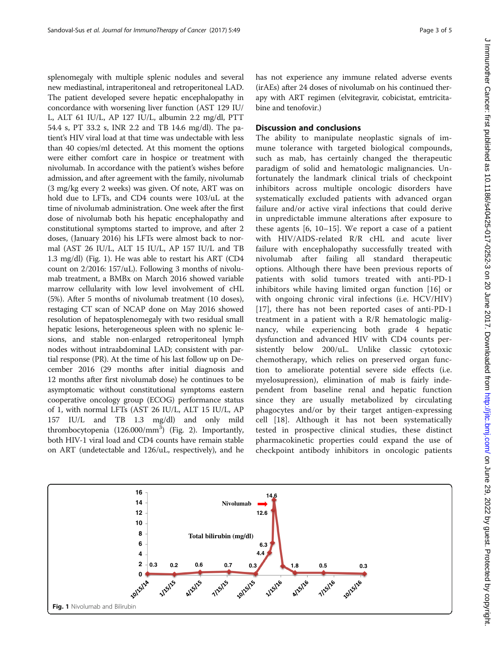splenomegaly with multiple splenic nodules and several new mediastinal, intraperitoneal and retroperitoneal LAD. The patient developed severe hepatic encephalopathy in concordance with worsening liver function (AST 129 IU/ L, ALT 61 IU/L, AP 127 IU/L, albumin 2.2 mg/dl, PTT 54.4 s, PT 33.2 s, INR 2.2 and TB 14.6 mg/dl). The patient's HIV viral load at that time was undectable with less than 40 copies/ml detected. At this moment the options were either comfort care in hospice or treatment with nivolumab. In accordance with the patient's wishes before admission, and after agreement with the family, nivolumab (3 mg/kg every 2 weeks) was given. Of note, ART was on hold due to LFTs, and CD4 counts were 103/uL at the time of nivolumab administration. One week after the first dose of nivolumab both his hepatic encephalopathy and constitutional symptoms started to improve, and after 2 doses, (January 2016) his LFTs were almost back to normal (AST 26 IU/L, ALT 15 IU/L, AP 157 IU/L and TB 1.3 mg/dl) (Fig. 1). He was able to restart his ART (CD4 count on 2/2016: 157/uL). Following 3 months of nivolumab treatment, a BMBx on March 2016 showed variable marrow cellularity with low level involvement of cHL (5%). After 5 months of nivolumab treatment (10 doses), restaging CT scan of NCAP done on May 2016 showed resolution of hepatosplenomegaly with two residual small hepatic lesions, heterogeneous spleen with no splenic lesions, and stable non-enlarged retroperitoneal lymph nodes without intraabdominal LAD; consistent with partial response (PR). At the time of his last follow up on December 2016 (29 months after initial diagnosis and 12 months after first nivolumab dose) he continues to be asymptomatic without constitutional symptoms eastern cooperative oncology group (ECOG) performance status of 1, with normal LFTs (AST 26 IU/L, ALT 15 IU/L, AP 157 IU/L and TB 1.3 mg/dl) and only mild thrombocytopenia (126.000/mm<sup>3</sup>) (Fig. [2\)](#page-3-0). Importantly, both HIV-1 viral load and CD4 counts have remain stable on ART (undetectable and 126/uL, respectively), and he

has not experience any immune related adverse events (irAEs) after 24 doses of nivolumab on his continued therapy with ART regimen (elvitegravir, cobicistat, emtricitabine and tenofovir.)

#### Discussion and conclusions

The ability to manipulate neoplastic signals of immune tolerance with targeted biological compounds, such as mab, has certainly changed the therapeutic paradigm of solid and hematologic malignancies. Unfortunately the landmark clinical trials of checkpoint inhibitors across multiple oncologic disorders have systematically excluded patients with advanced organ failure and/or active viral infections that could derive in unpredictable immune alterations after exposure to these agents [[6](#page-4-0), [10](#page-4-0)–[15](#page-4-0)]. We report a case of a patient with HIV/AIDS-related R/R cHL and acute liver failure with encephalopathy successfully treated with nivolumab after failing all standard therapeutic options. Although there have been previous reports of patients with solid tumors treated with anti-PD-1 inhibitors while having limited organ function [[16](#page-4-0)] or with ongoing chronic viral infections (i.e. HCV/HIV) [[17\]](#page-4-0), there has not been reported cases of anti-PD-1 treatment in a patient with a R/R hematologic malignancy, while experiencing both grade 4 hepatic dysfunction and advanced HIV with CD4 counts persistently below 200/uL. Unlike classic cytotoxic chemotherapy, which relies on preserved organ function to ameliorate potential severe side effects (i.e. myelosupression), elimination of mab is fairly independent from baseline renal and hepatic function since they are usually metabolized by circulating phagocytes and/or by their target antigen-expressing cell [[18\]](#page-4-0). Although it has not been systematically tested in prospective clinical studies, these distinct pharmacokinetic properties could expand the use of checkpoint antibody inhibitors in oncologic patients

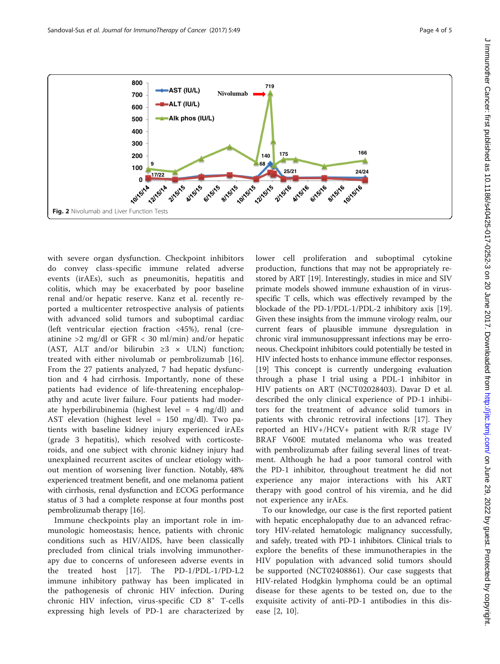<span id="page-3-0"></span>

with severe organ dysfunction. Checkpoint inhibitors do convey class-specific immune related adverse events (irAEs), such as pneumonitis, hepatitis and colitis, which may be exacerbated by poor baseline renal and/or hepatic reserve. Kanz et al. recently reported a multicenter retrospective analysis of patients with advanced solid tumors and suboptimal cardiac (left ventricular ejection fraction <45%), renal (creatinine >2 mg/dl or GFR < 30 ml/min) and/or hepatic (AST, ALT and/or bilirubin  $\geq 3 \times$  ULN) function; treated with either nivolumab or pembrolizumab [[16](#page-4-0)]. From the 27 patients analyzed, 7 had hepatic dysfunction and 4 had cirrhosis. Importantly, none of these patients had evidence of life-threatening encephalopathy and acute liver failure. Four patients had moderate hyperbilirubinemia (highest level  $= 4$  mg/dl) and AST elevation (highest level = 150 mg/dl). Two patients with baseline kidney injury experienced irAEs (grade 3 hepatitis), which resolved with corticosteroids, and one subject with chronic kidney injury had unexplained recurrent ascites of unclear etiology without mention of worsening liver function. Notably, 48% experienced treatment benefit, and one melanoma patient with cirrhosis, renal dysfunction and ECOG performance status of 3 had a complete response at four months post pembrolizumab therapy [\[16\]](#page-4-0).

Immune checkpoints play an important role in immunologic homeostasis; hence, patients with chronic conditions such as HIV/AIDS, have been classically precluded from clinical trials involving immunotherapy due to concerns of unforeseen adverse events in the treated host [\[17](#page-4-0)]. The PD-1/PDL-1/PD-L2 immune inhibitory pathway has been implicated in the pathogenesis of chronic HIV infection. During chronic HIV infection, virus-specific CD 8<sup>+</sup> T-cells expressing high levels of PD-1 are characterized by lower cell proliferation and suboptimal cytokine production, functions that may not be appropriately restored by ART [[19\]](#page-4-0). Interestingly, studies in mice and SIV primate models showed immune exhaustion of in virusspecific T cells, which was effectively revamped by the blockade of the PD-1/PDL-1/PDL-2 inhibitory axis [[19](#page-4-0)]. Given these insights from the immune virology realm, our current fears of plausible immune dysregulation in chronic viral immunosuppressant infections may be erroneous. Checkpoint inhibitors could potentially be tested in HIV infected hosts to enhance immune effector responses. [[19](#page-4-0)] This concept is currently undergoing evaluation through a phase I trial using a PDL-1 inhibitor in HIV patients on ART (NCT02028403). Davar D et al. described the only clinical experience of PD-1 inhibitors for the treatment of advance solid tumors in patients with chronic retroviral infections [[17\]](#page-4-0). They reported an HIV+/HCV+ patient with R/R stage IV BRAF V600E mutated melanoma who was treated with pembrolizumab after failing several lines of treatment. Although he had a poor tumoral control with the PD-1 inhibitor, throughout treatment he did not experience any major interactions with his ART therapy with good control of his viremia, and he did not experience any irAEs.

To our knowledge, our case is the first reported patient with hepatic encephalopathy due to an advanced refractory HIV-related hematologic malignancy successfully, and safely, treated with PD-1 inhibitors. Clinical trials to explore the benefits of these immunotherapies in the HIV population with advanced solid tumors should be supported (NCT02408861). Our case suggests that HIV-related Hodgkin lymphoma could be an optimal disease for these agents to be tested on, due to the exquisite activity of anti-PD-1 antibodies in this disease [\[2](#page-4-0), [10](#page-4-0)].